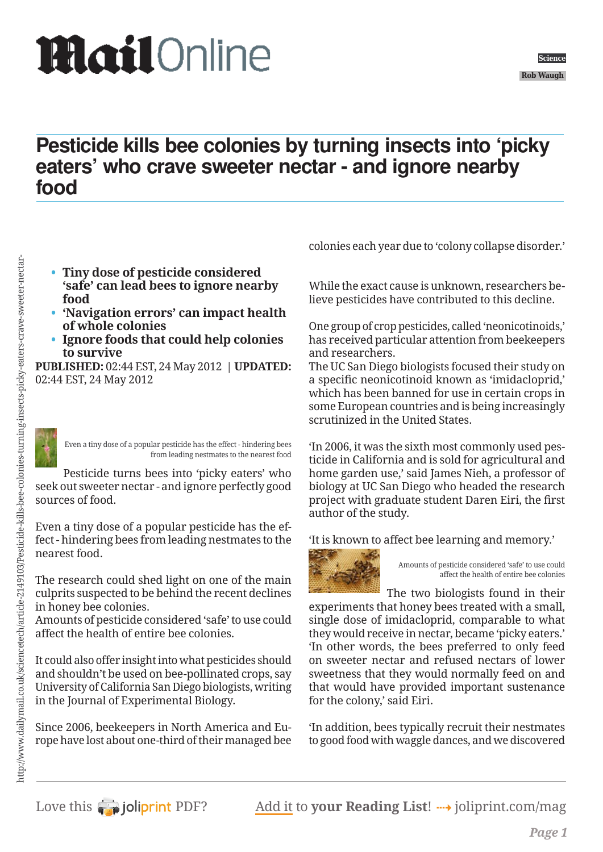## **MailOnline**

## **Pesticide kills bee colonies by turning insects into 'picky eaters' who crave sweeter nectar - and ignore nearby food**

- **• Tiny dose of pesticide considered 'safe' can lead bees to ignore nearby food**
- **• 'Navigation errors' can impact health of whole colonies**
- **• Ignore foods that could help colonies to survive**

**PUBLISHED:** 02:44 EST, 24 May 2012 | **UPDATED:** 02:44 EST, 24 May 2012



Even a tiny dose of a popular pesticide has the effect - hindering bees from leading nestmates to the nearest food

Pesticide turns bees into 'picky eaters' who seek out sweeter nectar - and ignore perfectly good sources of food.

Even a tiny dose of a popular pesticide has the effect - hindering bees from leading nestmates to the nearest food.

The research could shed light on one of the main culprits suspected to be behind the recent declines in honey bee colonies.

Amounts of pesticide considered 'safe' to use could affect the health of entire bee colonies.

It could also offer insight into what pesticides should and shouldn't be used on bee-pollinated crops, say University of California San Diego biologists, writing in the Journal of Experimental Biology.

Since 2006, beekeepers in North America and Europe have lost about one-third of their managed bee colonies each year due to 'colony collapse disorder.'

While the exact cause is unknown, researchers believe pesticides have contributed to this decline.

One group of crop pesticides, called 'neonicotinoids,' has received particular attention from beekeepers and researchers.

The UC San Diego biologists focused their study on a specific neonicotinoid known as 'imidacloprid,' which has been banned for use in certain crops in some European countries and is being increasingly scrutinized in the United States.

'In 2006, it was the sixth most commonly used pesticide in California and is sold for agricultural and home garden use,' said James Nieh, a professor of biology at UC San Diego who headed the research project with graduate student Daren Eiri, the first author of the study.

'It is known to affect bee learning and memory.'



Amounts of pesticide considered 'safe' to use could affect the health of entire bee colonies

The two biologists found in their experiments that honey bees treated with a small, single dose of imidacloprid, comparable to what they would receive in nectar, became 'picky eaters.' 'In other words, the bees preferred to only feed on sweeter nectar and refused nectars of lower sweetness that they would normally feed on and that would have provided important sustenance for the colony,' said Eiri.

'In addition, bees typically recruit their nestmates to good food with waggle dances, and we discovered